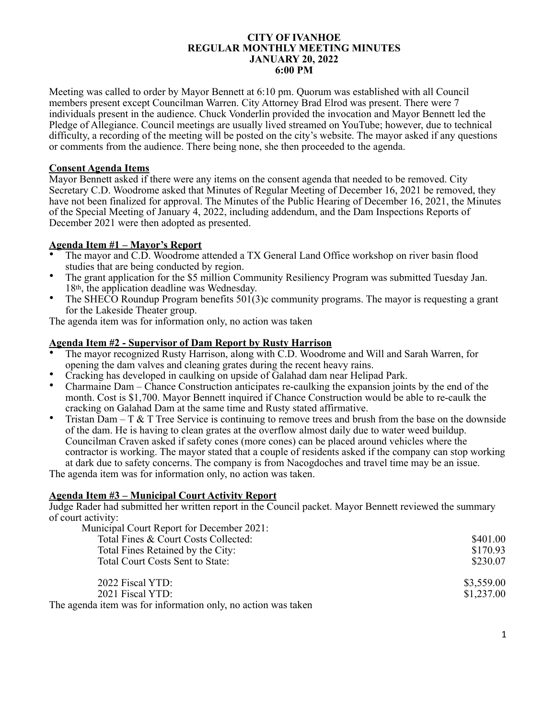#### **CITY OF IVANHOE REGULAR MONTHLY MEETING MINUTES JANUARY 20, 2022 6:00 PM**

Meeting was called to order by Mayor Bennett at 6:10 pm. Quorum was established with all Council members present except Councilman Warren. City Attorney Brad Elrod was present. There were 7 individuals present in the audience. Chuck Vonderlin provided the invocation and Mayor Bennett led the Pledge of Allegiance. Council meetings are usually lived streamed on YouTube; however, due to technical difficulty, a recording of the meeting will be posted on the city's website. The mayor asked if any questions or comments from the audience. There being none, she then proceeded to the agenda.

## **Consent Agenda Items**

Mayor Bennett asked if there were any items on the consent agenda that needed to be removed. City Secretary C.D. Woodrome asked that Minutes of Regular Meeting of December 16, 2021 be removed, they have not been finalized for approval. The Minutes of the Public Hearing of December 16, 2021, the Minutes of the Special Meeting of January 4, 2022, including addendum, and the Dam Inspections Reports of December 2021 were then adopted as presented.

# **Agenda Item #1 – Mayor's Report**

- The mayor and C.D. Woodrome attended a TX General Land Office workshop on river basin flood studies that are being conducted by region.
- The grant application for the \$5 million Community Resiliency Program was submitted Tuesday Jan. 18th, the application deadline was Wednesday.
- The SHECO Roundup Program benefits 501(3)c community programs. The mayor is requesting a grant for the Lakeside Theater group.

The agenda item was for information only, no action was taken

# **Agenda Item #2 - Supervisor of Dam Report by Rusty Harrison**

- The mayor recognized Rusty Harrison, along with C.D. Woodrome and Will and Sarah Warren, for opening the dam valves and cleaning grates during the recent heavy rains.
- Cracking has developed in caulking on upside of Galahad dam near Helipad Park.
- Charmaine Dam Chance Construction anticipates re-caulking the expansion joints by the end of the month. Cost is \$1,700. Mayor Bennett inquired if Chance Construction would be able to re-caulk the cracking on Galahad Dam at the same time and Rusty stated affirmative.
- Tristan Dam T  $&$  T Tree Service is continuing to remove trees and brush from the base on the downside of the dam. He is having to clean grates at the overflow almost daily due to water weed buildup. Councilman Craven asked if safety cones (more cones) can be placed around vehicles where the contractor is working. The mayor stated that a couple of residents asked if the company can stop working at dark due to safety concerns. The company is from Nacogdoches and travel time may be an issue.

The agenda item was for information only, no action was taken.

#### **Agenda Item #3 – Municipal Court Activity Report**

Judge Rader had submitted her written report in the Council packet. Mayor Bennett reviewed the summary of court activity:

| Municipal Court Report for December 2021:                     |            |
|---------------------------------------------------------------|------------|
| Total Fines & Court Costs Collected:                          | \$401.00   |
| Total Fines Retained by the City:                             | \$170.93   |
| Total Court Costs Sent to State:                              | \$230.07   |
| 2022 Fiscal YTD:                                              | \$3,559.00 |
| 2021 Fiscal YTD:                                              | \$1,237.00 |
| The agenda item was for information only, no action was taken |            |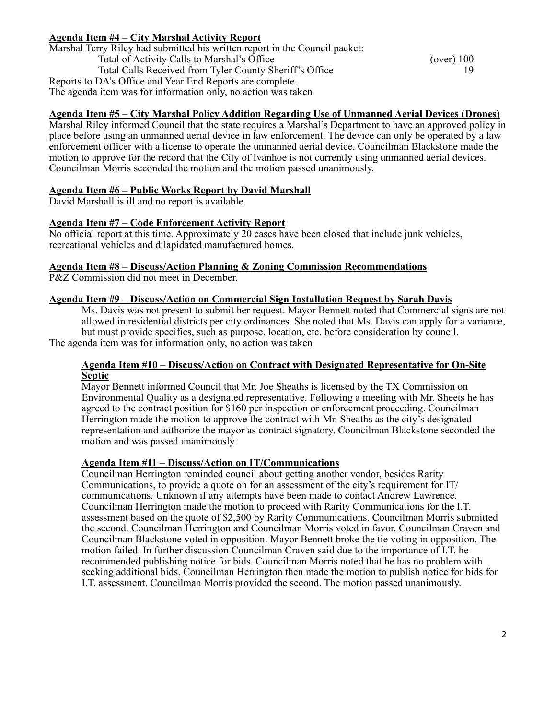# **Agenda Item #4 – City Marshal Activity Report**

| Marshal Terry Riley had submitted his written report in the Council packet: |              |
|-----------------------------------------------------------------------------|--------------|
| Total of Activity Calls to Marshal's Office                                 | $(over)$ 100 |
| Total Calls Received from Tyler County Sheriff's Office                     |              |
| Reports to DA's Office and Year End Reports are complete.                   |              |
| The agenda item was for information only, no action was taken               |              |

# **Agenda Item #5 – City Marshal Policy Addition Regarding Use of Unmanned Aerial Devices (Drones)**

Marshal Riley informed Council that the state requires a Marshal's Department to have an approved policy in place before using an unmanned aerial device in law enforcement. The device can only be operated by a law enforcement officer with a license to operate the unmanned aerial device. Councilman Blackstone made the motion to approve for the record that the City of Ivanhoe is not currently using unmanned aerial devices. Councilman Morris seconded the motion and the motion passed unanimously.

## **Agenda Item #6 – Public Works Report by David Marshall**

David Marshall is ill and no report is available.

## **Agenda Item #7 – Code Enforcement Activity Report**

No official report at this time. Approximately 20 cases have been closed that include junk vehicles, recreational vehicles and dilapidated manufactured homes.

#### **Agenda Item #8 – Discuss/Action Planning & Zoning Commission Recommendations**

P&Z Commission did not meet in December.

#### **Agenda Item #9 – Discuss/Action on Commercial Sign Installation Request by Sarah Davis**

Ms. Davis was not present to submit her request. Mayor Bennett noted that Commercial signs are not allowed in residential districts per city ordinances. She noted that Ms. Davis can apply for a variance, but must provide specifics, such as purpose, location, etc. before consideration by council.

The agenda item was for information only, no action was taken

#### **Agenda Item #10 – Discuss/Action on Contract with Designated Representative for On-Site Septic**

Mayor Bennett informed Council that Mr. Joe Sheaths is licensed by the TX Commission on Environmental Quality as a designated representative. Following a meeting with Mr. Sheets he has agreed to the contract position for \$160 per inspection or enforcement proceeding. Councilman Herrington made the motion to approve the contract with Mr. Sheaths as the city's designated representation and authorize the mayor as contract signatory. Councilman Blackstone seconded the motion and was passed unanimously.

#### **Agenda Item #11 – Discuss/Action on IT/Communications**

Councilman Herrington reminded council about getting another vendor, besides Rarity Communications, to provide a quote on for an assessment of the city's requirement for IT/ communications. Unknown if any attempts have been made to contact Andrew Lawrence. Councilman Herrington made the motion to proceed with Rarity Communications for the I.T. assessment based on the quote of \$2,500 by Rarity Communications. Councilman Morris submitted the second. Councilman Herrington and Councilman Morris voted in favor. Councilman Craven and Councilman Blackstone voted in opposition. Mayor Bennett broke the tie voting in opposition. The motion failed. In further discussion Councilman Craven said due to the importance of I.T. he recommended publishing notice for bids. Councilman Morris noted that he has no problem with seeking additional bids. Councilman Herrington then made the motion to publish notice for bids for I.T. assessment. Councilman Morris provided the second. The motion passed unanimously.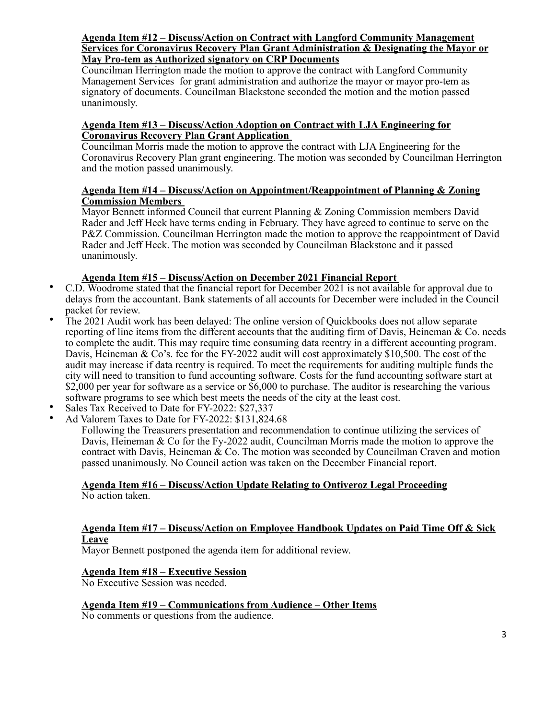#### **Agenda Item #12 – Discuss/Action on Contract with Langford Community Management Services for Coronavirus Recovery Plan Grant Administration & Designating the Mayor or May Pro-tem as Authorized signatory on CRP Documents**

Councilman Herrington made the motion to approve the contract with Langford Community Management Services for grant administration and authorize the mayor or mayor pro-tem as signatory of documents. Councilman Blackstone seconded the motion and the motion passed unanimously.

## **Agenda Item #13 – Discuss/Action Adoption on Contract with LJA Engineering for Coronavirus Recovery Plan Grant Application**

Councilman Morris made the motion to approve the contract with LJA Engineering for the Coronavirus Recovery Plan grant engineering. The motion was seconded by Councilman Herrington and the motion passed unanimously.

# **Agenda Item #14 – Discuss/Action on Appointment/Reappointment of Planning & Zoning Commission Members**

Mayor Bennett informed Council that current Planning & Zoning Commission members David Rader and Jeff Heck have terms ending in February. They have agreed to continue to serve on the P&Z Commission. Councilman Herrington made the motion to approve the reappointment of David Rader and Jeff Heck. The motion was seconded by Councilman Blackstone and it passed unanimously.

# **Agenda Item #15 – Discuss/Action on December 2021 Financial Report**

- C.D. Woodrome stated that the financial report for December 2021 is not available for approval due to delays from the accountant. Bank statements of all accounts for December were included in the Council packet for review.
- The 2021 Audit work has been delayed: The online version of Quickbooks does not allow separate reporting of line items from the different accounts that the auditing firm of Davis, Heineman & Co. needs to complete the audit. This may require time consuming data reentry in a different accounting program. Davis, Heineman & Co's. fee for the FY-2022 audit will cost approximately \$10,500. The cost of the audit may increase if data reentry is required. To meet the requirements for auditing multiple funds the city will need to transition to fund accounting software. Costs for the fund accounting software start at \$2,000 per year for software as a service or \$6,000 to purchase. The auditor is researching the various software programs to see which best meets the needs of the city at the least cost.
- Sales Tax Received to Date for FY-2022: \$27,337
- Ad Valorem Taxes to Date for FY-2022: \$131,824.68

Following the Treasurers presentation and recommendation to continue utilizing the services of Davis, Heineman & Co for the Fy-2022 audit, Councilman Morris made the motion to approve the contract with Davis, Heineman  $\&$  Co. The motion was seconded by Councilman Craven and motion passed unanimously. No Council action was taken on the December Financial report.

#### **Agenda Item #16 – Discuss/Action Update Relating to Ontiveroz Legal Proceeding** No action taken.

# **Agenda Item #17 – Discuss/Action on Employee Handbook Updates on Paid Time Off & Sick**

# **Leave**

Mayor Bennett postponed the agenda item for additional review.

# **Agenda Item #18 – Executive Session**

No Executive Session was needed.

# **Agenda Item #19 – Communications from Audience – Other Items**

No comments or questions from the audience.